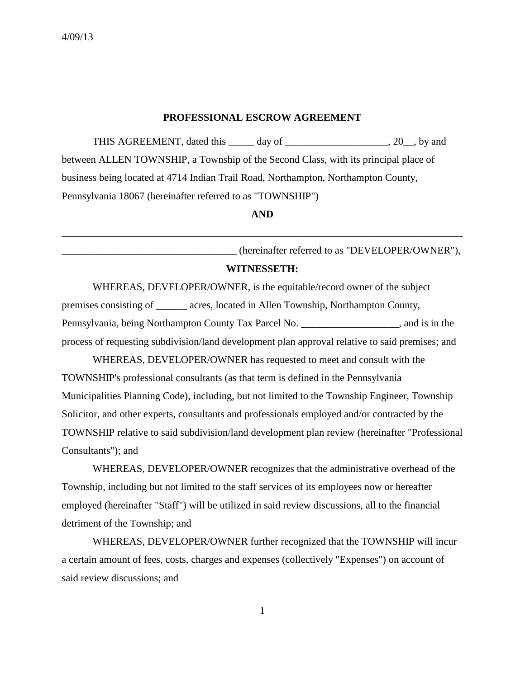#### **PROFESSIONAL ESCROW AGREEMENT**

THIS AGREEMENT, dated this \_\_\_\_\_ day of \_\_\_\_\_\_\_\_\_\_\_\_\_\_\_\_\_\_, 20\_, by and between ALLEN TOWNSHIP, a Township of the Second Class, with its principal place of business being located at 4714 Indian Trail Road, Northampton, Northampton County, Pennsylvania 18067 (hereinafter referred to as "TOWNSHIP")

## **AND**

\_\_\_\_\_\_\_\_\_\_\_\_\_\_\_\_\_\_\_\_\_\_\_\_\_\_\_\_\_\_\_\_\_\_\_\_\_\_\_\_\_\_\_\_\_\_\_\_\_\_\_\_\_\_\_\_\_\_\_\_\_\_\_\_\_\_\_\_\_\_\_\_\_\_\_\_\_\_

\_\_\_\_\_\_\_\_\_\_\_\_\_\_\_\_\_\_\_\_\_\_\_\_\_\_\_\_\_\_\_\_\_\_ (hereinafter referred to as "DEVELOPER/OWNER"), **WITNESSETH:**

WHEREAS, DEVELOPER/OWNER, is the equitable/record owner of the subject premises consisting of \_\_\_\_\_\_ acres, located in Allen Township, Northampton County, Pennsylvania, being Northampton County Tax Parcel No. \_\_\_\_\_\_\_\_\_\_\_\_\_\_\_\_\_\_\_, and is in the process of requesting subdivision/land development plan approval relative to said premises; and

WHEREAS, DEVELOPER/OWNER has requested to meet and consult with the TOWNSHIP's professional consultants (as that term is defined in the Pennsylvania Municipalities Planning Code), including, but not limited to the Township Engineer, Township Solicitor, and other experts, consultants and professionals employed and/or contracted by the TOWNSHIP relative to said subdivision/land development plan review (hereinafter "Professional Consultants"); and

WHEREAS, DEVELOPER/OWNER recognizes that the administrative overhead of the Township, including but not limited to the staff services of its employees now or hereafter employed (hereinafter "Staff") will be utilized in said review discussions, all to the financial detriment of the Township; and

WHEREAS, DEVELOPER/OWNER further recognized that the TOWNSHIP will incur a certain amount of fees, costs, charges and expenses (collectively "Expenses") on account of said review discussions; and

1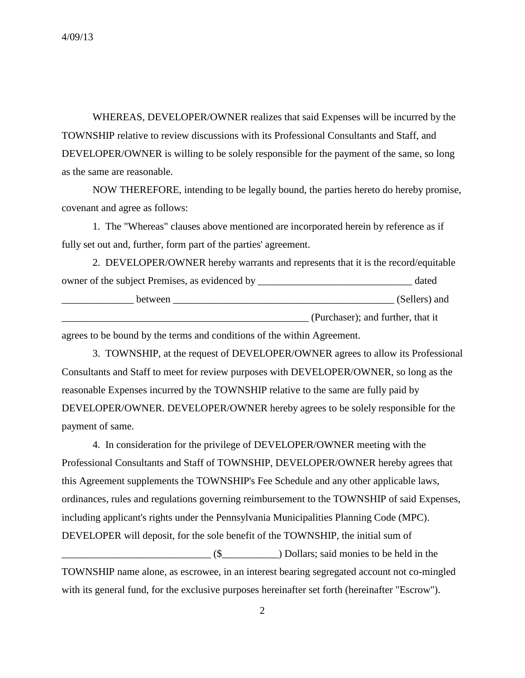WHEREAS, DEVELOPER/OWNER realizes that said Expenses will be incurred by the TOWNSHIP relative to review discussions with its Professional Consultants and Staff, and DEVELOPER/OWNER is willing to be solely responsible for the payment of the same, so long as the same are reasonable.

NOW THEREFORE, intending to be legally bound, the parties hereto do hereby promise, covenant and agree as follows:

1. The "Whereas" clauses above mentioned are incorporated herein by reference as if fully set out and, further, form part of the parties' agreement.

| 2. DEVELOPER/OWNER hereby warrants and represents that it is the record/equitable |                                   |
|-----------------------------------------------------------------------------------|-----------------------------------|
| owner of the subject Premises, as evidenced by __________________________________ | dated                             |
| between                                                                           | (Sellers) and                     |
|                                                                                   | (Purchaser); and further, that it |

agrees to be bound by the terms and conditions of the within Agreement.

3. TOWNSHIP, at the request of DEVELOPER/OWNER agrees to allow its Professional Consultants and Staff to meet for review purposes with DEVELOPER/OWNER, so long as the reasonable Expenses incurred by the TOWNSHIP relative to the same are fully paid by DEVELOPER/OWNER. DEVELOPER/OWNER hereby agrees to be solely responsible for the payment of same.

4. In consideration for the privilege of DEVELOPER/OWNER meeting with the Professional Consultants and Staff of TOWNSHIP, DEVELOPER/OWNER hereby agrees that this Agreement supplements the TOWNSHIP's Fee Schedule and any other applicable laws, ordinances, rules and regulations governing reimbursement to the TOWNSHIP of said Expenses, including applicant's rights under the Pennsylvania Municipalities Planning Code (MPC). DEVELOPER will deposit, for the sole benefit of the TOWNSHIP, the initial sum of  $($ \$  $($ 

TOWNSHIP name alone, as escrowee, in an interest bearing segregated account not co-mingled with its general fund, for the exclusive purposes hereinafter set forth (hereinafter "Escrow").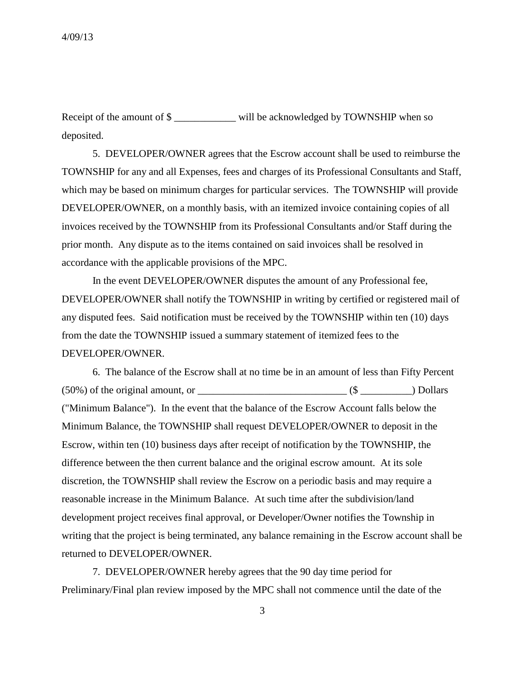Receipt of the amount of \$ deposited.

5. DEVELOPER/OWNER agrees that the Escrow account shall be used to reimburse the TOWNSHIP for any and all Expenses, fees and charges of its Professional Consultants and Staff, which may be based on minimum charges for particular services. The TOWNSHIP will provide DEVELOPER/OWNER, on a monthly basis, with an itemized invoice containing copies of all invoices received by the TOWNSHIP from its Professional Consultants and/or Staff during the prior month. Any dispute as to the items contained on said invoices shall be resolved in accordance with the applicable provisions of the MPC.

In the event DEVELOPER/OWNER disputes the amount of any Professional fee, DEVELOPER/OWNER shall notify the TOWNSHIP in writing by certified or registered mail of any disputed fees. Said notification must be received by the TOWNSHIP within ten (10) days from the date the TOWNSHIP issued a summary statement of itemized fees to the DEVELOPER/OWNER.

6. The balance of the Escrow shall at no time be in an amount of less than Fifty Percent  $(50\%)$  of the original amount, or  $($   $\Diamond$ ("Minimum Balance"). In the event that the balance of the Escrow Account falls below the Minimum Balance, the TOWNSHIP shall request DEVELOPER/OWNER to deposit in the Escrow, within ten (10) business days after receipt of notification by the TOWNSHIP, the difference between the then current balance and the original escrow amount. At its sole discretion, the TOWNSHIP shall review the Escrow on a periodic basis and may require a reasonable increase in the Minimum Balance. At such time after the subdivision/land development project receives final approval, or Developer/Owner notifies the Township in writing that the project is being terminated, any balance remaining in the Escrow account shall be returned to DEVELOPER/OWNER.

7. DEVELOPER/OWNER hereby agrees that the 90 day time period for Preliminary/Final plan review imposed by the MPC shall not commence until the date of the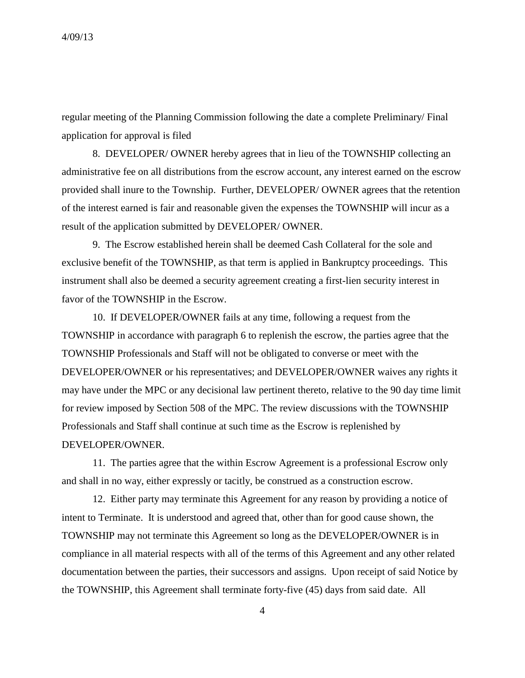regular meeting of the Planning Commission following the date a complete Preliminary/ Final application for approval is filed

8. DEVELOPER/ OWNER hereby agrees that in lieu of the TOWNSHIP collecting an administrative fee on all distributions from the escrow account, any interest earned on the escrow provided shall inure to the Township. Further, DEVELOPER/ OWNER agrees that the retention of the interest earned is fair and reasonable given the expenses the TOWNSHIP will incur as a result of the application submitted by DEVELOPER/ OWNER.

9. The Escrow established herein shall be deemed Cash Collateral for the sole and exclusive benefit of the TOWNSHIP, as that term is applied in Bankruptcy proceedings. This instrument shall also be deemed a security agreement creating a first-lien security interest in favor of the TOWNSHIP in the Escrow.

10. If DEVELOPER/OWNER fails at any time, following a request from the TOWNSHIP in accordance with paragraph 6 to replenish the escrow, the parties agree that the TOWNSHIP Professionals and Staff will not be obligated to converse or meet with the DEVELOPER/OWNER or his representatives; and DEVELOPER/OWNER waives any rights it may have under the MPC or any decisional law pertinent thereto, relative to the 90 day time limit for review imposed by Section 508 of the MPC. The review discussions with the TOWNSHIP Professionals and Staff shall continue at such time as the Escrow is replenished by DEVELOPER/OWNER.

11. The parties agree that the within Escrow Agreement is a professional Escrow only and shall in no way, either expressly or tacitly, be construed as a construction escrow.

12. Either party may terminate this Agreement for any reason by providing a notice of intent to Terminate. It is understood and agreed that, other than for good cause shown, the TOWNSHIP may not terminate this Agreement so long as the DEVELOPER/OWNER is in compliance in all material respects with all of the terms of this Agreement and any other related documentation between the parties, their successors and assigns. Upon receipt of said Notice by the TOWNSHIP, this Agreement shall terminate forty-five (45) days from said date. All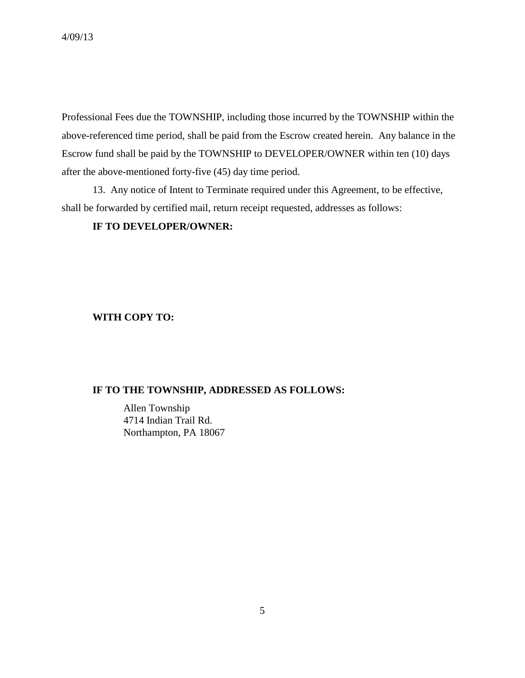Professional Fees due the TOWNSHIP, including those incurred by the TOWNSHIP within the above-referenced time period, shall be paid from the Escrow created herein. Any balance in the Escrow fund shall be paid by the TOWNSHIP to DEVELOPER/OWNER within ten (10) days after the above-mentioned forty-five (45) day time period.

13. Any notice of Intent to Terminate required under this Agreement, to be effective, shall be forwarded by certified mail, return receipt requested, addresses as follows:

# **IF TO DEVELOPER/OWNER:**

# **WITH COPY TO:**

### **IF TO THE TOWNSHIP, ADDRESSED AS FOLLOWS:**

Allen Township 4714 Indian Trail Rd. Northampton, PA 18067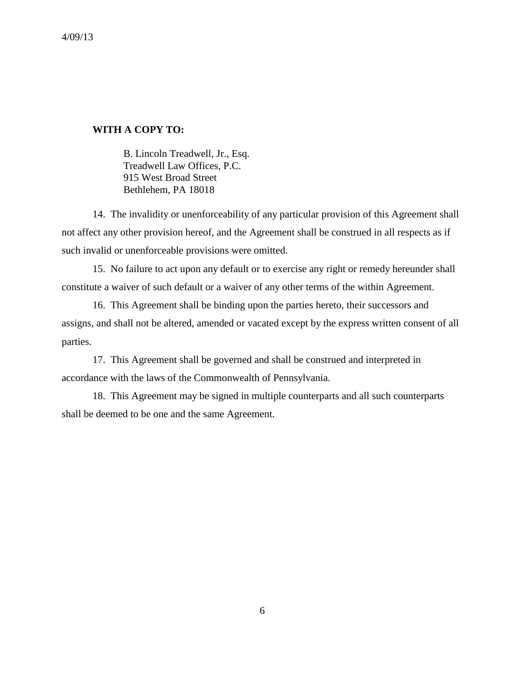### **WITH A COPY TO:**

B. Lincoln Treadwell, Jr., Esq. Treadwell Law Offices, P.C. 915 West Broad Street Bethlehem, PA 18018

14. The invalidity or unenforceability of any particular provision of this Agreement shall not affect any other provision hereof, and the Agreement shall be construed in all respects as if such invalid or unenforceable provisions were omitted.

15. No failure to act upon any default or to exercise any right or remedy hereunder shall constitute a waiver of such default or a waiver of any other terms of the within Agreement.

16. This Agreement shall be binding upon the parties hereto, their successors and assigns, and shall not be altered, amended or vacated except by the express written consent of all parties.

17. This Agreement shall be governed and shall be construed and interpreted in accordance with the laws of the Commonwealth of Pennsylvania.

18. This Agreement may be signed in multiple counterparts and all such counterparts shall be deemed to be one and the same Agreement.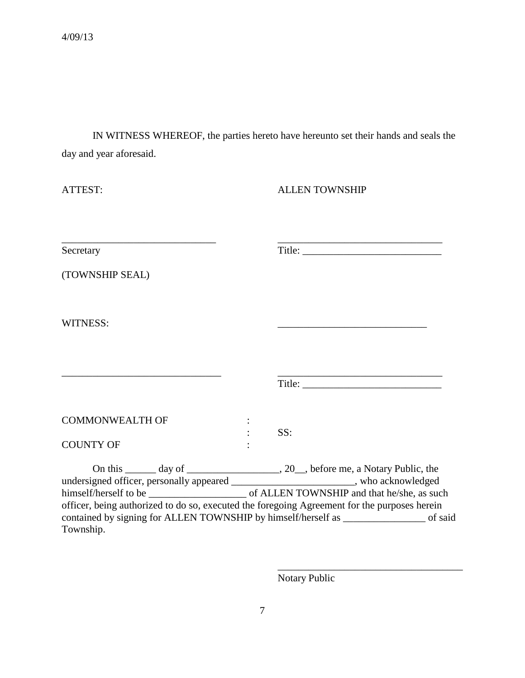IN WITNESS WHEREOF, the parties hereto have hereunto set their hands and seals the day and year aforesaid.

| ATTEST:                                                                                                                                                                            | <b>ALLEN TOWNSHIP</b>                                                                 |
|------------------------------------------------------------------------------------------------------------------------------------------------------------------------------------|---------------------------------------------------------------------------------------|
| Secretary                                                                                                                                                                          |                                                                                       |
| (TOWNSHIP SEAL)                                                                                                                                                                    |                                                                                       |
| WITNESS:                                                                                                                                                                           |                                                                                       |
|                                                                                                                                                                                    |                                                                                       |
| <b>COMMONWEALTH OF</b><br><b>COUNTY OF</b>                                                                                                                                         | SS:                                                                                   |
| undersigned officer, personally appeared _______________________, who acknowledged<br>officer, being authorized to do so, executed the foregoing Agreement for the purposes herein |                                                                                       |
| Township.                                                                                                                                                                          | contained by signing for ALLEN TOWNSHIP by himself/herself as _______________ of said |

Notary Public

\_\_\_\_\_\_\_\_\_\_\_\_\_\_\_\_\_\_\_\_\_\_\_\_\_\_\_\_\_\_\_\_\_\_\_\_